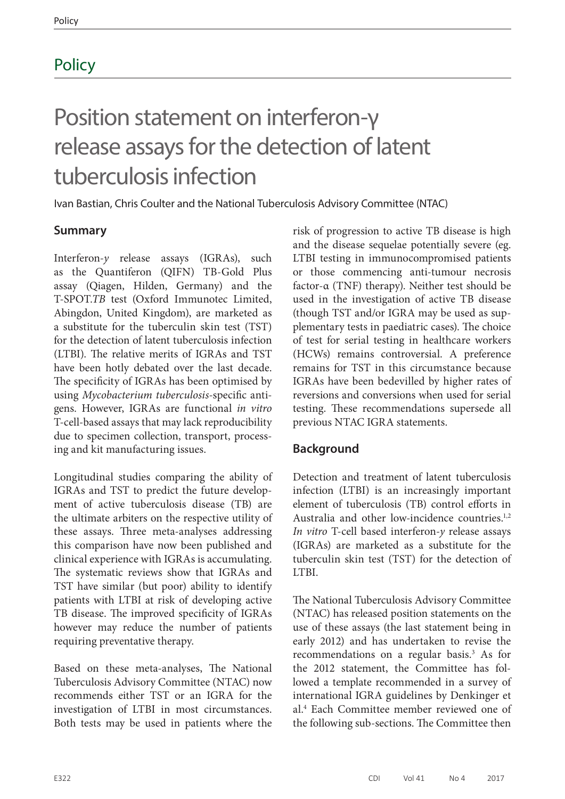## **Policy**

# Position statement on interferon-γ release assays for the detection of latent tuberculosis infection

Ivan Bastian, Chris Coulter and the National Tuberculosis Advisory Committee (NTAC)

## **Summary**

Interferon-*y* release assays (IGRAs), such as the Quantiferon (QIFN) TB-Gold Plus assay (Qiagen, Hilden, Germany) and the T-SPOT.*TB* test (Oxford Immunotec Limited, Abingdon, United Kingdom), are marketed as a substitute for the tuberculin skin test (TST) for the detection of latent tuberculosis infection (LTBI). The relative merits of IGRAs and TST have been hotly debated over the last decade. The specificity of IGRAs has been optimised by using *Mycobacterium tuberculosis*-specific antigens. However, IGRAs are functional *in vitro* T-cell-based assays that may lack reproducibility due to specimen collection, transport, processing and kit manufacturing issues.

Longitudinal studies comparing the ability of IGRAs and TST to predict the future development of active tuberculosis disease (TB) are the ultimate arbiters on the respective utility of these assays. Three meta-analyses addressing this comparison have now been published and clinical experience with IGRAs is accumulating. The systematic reviews show that IGRAs and TST have similar (but poor) ability to identify patients with LTBI at risk of developing active TB disease. The improved specificity of IGRAs however may reduce the number of patients requiring preventative therapy.

Based on these meta-analyses, The National Tuberculosis Advisory Committee (NTAC) now recommends either TST or an IGRA for the investigation of LTBI in most circumstances. Both tests may be used in patients where the risk of progression to active TB disease is high and the disease sequelae potentially severe (eg. LTBI testing in immunocompromised patients or those commencing anti-tumour necrosis factor-α (TNF) therapy). Neither test should be used in the investigation of active TB disease (though TST and/or IGRA may be used as supplementary tests in paediatric cases). The choice of test for serial testing in healthcare workers (HCWs) remains controversial. A preference remains for TST in this circumstance because IGRAs have been bedevilled by higher rates of reversions and conversions when used for serial testing. These recommendations supersede all previous NTAC IGRA statements.

## **Background**

Detection and treatment of latent tuberculosis infection (LTBI) is an increasingly important element of tuberculosis (TB) control efforts in Australia and other low-incidence countries.<sup>1,2</sup> *In vitro* T-cell based interferon-*y* release assays (IGRAs) are marketed as a substitute for the tuberculin skin test (TST) for the detection of LTBI.

The National Tuberculosis Advisory Committee (NTAC) has released position statements on the use of these assays (the last statement being in early 2012) and has undertaken to revise the recommendations on a regular basis.<sup>3</sup> As for the 2012 statement, the Committee has followed a template recommended in a survey of international IGRA guidelines by Denkinger et al.4 Each Committee member reviewed one of the following sub-sections. The Committee then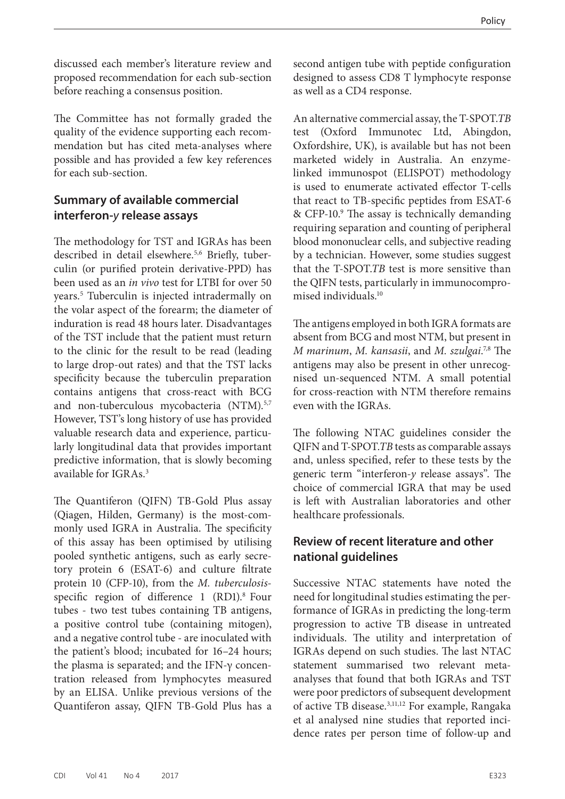discussed each member's literature review and proposed recommendation for each sub-section before reaching a consensus position.

The Committee has not formally graded the quality of the evidence supporting each recommendation but has cited meta-analyses where possible and has provided a few key references for each sub-section.

## **Summary of available commercial interferon-***y* **release assays**

The methodology for TST and IGRAs has been described in detail elsewhere.<sup>5,6</sup> Briefly, tuberculin (or purified protein derivative-PPD) has been used as an *in vivo* test for LTBI for over 50 years.5 Tuberculin is injected intradermally on the volar aspect of the forearm; the diameter of induration is read 48 hours later. Disadvantages of the TST include that the patient must return to the clinic for the result to be read (leading to large drop-out rates) and that the TST lacks specificity because the tuberculin preparation contains antigens that cross-react with BCG and non-tuberculous mycobacteria (NTM).<sup>5,7</sup> However, TST's long history of use has provided valuable research data and experience, particularly longitudinal data that provides important predictive information, that is slowly becoming available for IGRAs.3

The Quantiferon (QIFN) TB-Gold Plus assay (Qiagen, Hilden, Germany) is the most-commonly used IGRA in Australia. The specificity of this assay has been optimised by utilising pooled synthetic antigens, such as early secretory protein 6 (ESAT-6) and culture filtrate protein 10 (CFP-10), from the *M. tuberculosis*specific region of difference  $1$  (RD1).<sup>8</sup> Four tubes - two test tubes containing TB antigens, a positive control tube (containing mitogen), and a negative control tube - are inoculated with the patient's blood; incubated for 16–24 hours; the plasma is separated; and the IFN- $γ$  concentration released from lymphocytes measured by an ELISA. Unlike previous versions of the Quantiferon assay, QIFN TB-Gold Plus has a

second antigen tube with peptide configuration designed to assess CD8 T lymphocyte response as well as a CD4 response.

An alternative commercial assay, the T-SPOT.*TB* test (Oxford Immunotec Ltd, Abingdon, Oxfordshire, UK), is available but has not been marketed widely in Australia. An enzymelinked immunospot (ELISPOT) methodology is used to enumerate activated effector T-cells that react to TB-specific peptides from ESAT-6 & CFP-10.<sup>9</sup> The assay is technically demanding requiring separation and counting of peripheral blood mononuclear cells, and subjective reading by a technician. However, some studies suggest that the T-SPOT.*TB* test is more sensitive than the QIFN tests, particularly in immunocompromised individuals.10

The antigens employed in both IGRA formats are absent from BCG and most NTM, but present in *M marinum*, *M. kansasii*, and *M. szulgai*. 7,8 The antigens may also be present in other unrecognised un-sequenced NTM. A small potential for cross-reaction with NTM therefore remains even with the IGRAs.

The following NTAC guidelines consider the QIFN and T-SPOT.*TB* tests as comparable assays and, unless specified, refer to these tests by the generic term "interferon-*y* release assays". The choice of commercial IGRA that may be used is left with Australian laboratories and other healthcare professionals.

## **Review of recent literature and other national guidelines**

Successive NTAC statements have noted the need for longitudinal studies estimating the performance of IGRAs in predicting the long-term progression to active TB disease in untreated individuals. The utility and interpretation of IGRAs depend on such studies. The last NTAC statement summarised two relevant metaanalyses that found that both IGRAs and TST were poor predictors of subsequent development of active TB disease.3,11,12 For example, Rangaka et al analysed nine studies that reported incidence rates per person time of follow-up and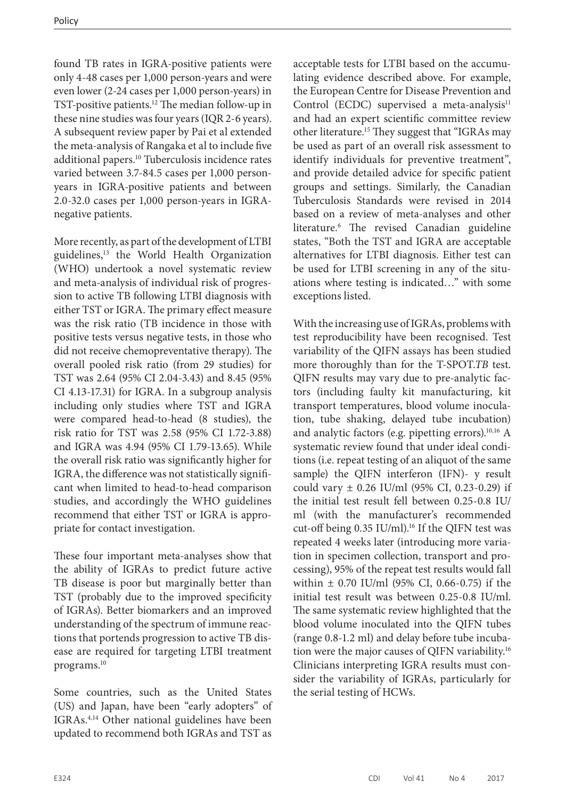found TB rates in IGRA-positive patients were only 4-48 cases per 1,000 person-years and were even lower (2-24 cases per 1,000 person-years) in TST-positive patients.12 The median follow-up in these nine studies was four years (IQR 2-6 years). A subsequent review paper by Pai et al extended the meta-analysis of Rangaka et al to include five additional papers.10 Tuberculosis incidence rates varied between 3.7-84.5 cases per 1,000 personyears in IGRA-positive patients and between 2.0-32.0 cases per 1,000 person-years in IGRAnegative patients.

More recently, as part of the development of LTBI guidelines,<sup>13</sup> the World Health Organization (WHO) undertook a novel systematic review and meta-analysis of individual risk of progression to active TB following LTBI diagnosis with either TST or IGRA. The primary effect measure was the risk ratio (TB incidence in those with positive tests versus negative tests, in those who did not receive chemopreventative therapy). The overall pooled risk ratio (from 29 studies) for TST was 2.64 (95% CI 2.04-3.43) and 8.45 (95% CI 4.13-17.31) for IGRA. In a subgroup analysis including only studies where TST and IGRA were compared head-to-head (8 studies), the risk ratio for TST was 2.58 (95% CI 1.72-3.88) and IGRA was 4.94 (95% CI 1.79-13.65). While the overall risk ratio was significantly higher for IGRA, the difference was not statistically significant when limited to head-to-head comparison studies, and accordingly the WHO guidelines recommend that either TST or IGRA is appropriate for contact investigation.

These four important meta-analyses show that the ability of IGRAs to predict future active TB disease is poor but marginally better than TST (probably due to the improved specificity of IGRAs). Better biomarkers and an improved understanding of the spectrum of immune reactions that portends progression to active TB disease are required for targeting LTBI treatment programs.10

Some countries, such as the United States (US) and Japan, have been "early adopters" of IGRAs.4,14 Other national guidelines have been updated to recommend both IGRAs and TST as

acceptable tests for LTBI based on the accumulating evidence described above. For example, the European Centre for Disease Prevention and Control (ECDC) supervised a meta-analysis<sup>11</sup> and had an expert scientific committee review other literature.15 They suggest that "IGRAs may be used as part of an overall risk assessment to identify individuals for preventive treatment", and provide detailed advice for specific patient groups and settings. Similarly, the Canadian Tuberculosis Standards were revised in 2014 based on a review of meta-analyses and other literature.6 The revised Canadian guideline states, "Both the TST and IGRA are acceptable alternatives for LTBI diagnosis. Either test can be used for LTBI screening in any of the situations where testing is indicated…" with some exceptions listed.

With the increasing use of IGRAs, problems with test reproducibility have been recognised. Test variability of the QIFN assays has been studied more thoroughly than for the T-SPOT.*TB* test. QIFN results may vary due to pre-analytic factors (including faulty kit manufacturing, kit transport temperatures, blood volume inoculation, tube shaking, delayed tube incubation) and analytic factors (e.g. pipetting errors).<sup>10,16</sup> A systematic review found that under ideal conditions (i.e. repeat testing of an aliquot of the same sample) the QIFN interferon (IFN)- y result could vary  $\pm$  0.26 IU/ml (95% CI, 0.23-0.29) if the initial test result fell between 0.25-0.8 IU/ ml (with the manufacturer's recommended cut-off being 0.35 IU/ml).<sup>16</sup> If the QIFN test was repeated 4 weeks later (introducing more variation in specimen collection, transport and processing), 95% of the repeat test results would fall within  $\pm$  0.70 IU/ml (95% CI, 0.66-0.75) if the initial test result was between 0.25-0.8 IU/ml. The same systematic review highlighted that the blood volume inoculated into the QIFN tubes (range 0.8-1.2 ml) and delay before tube incubation were the major causes of QIFN variability.16 Clinicians interpreting IGRA results must consider the variability of IGRAs, particularly for the serial testing of HCWs.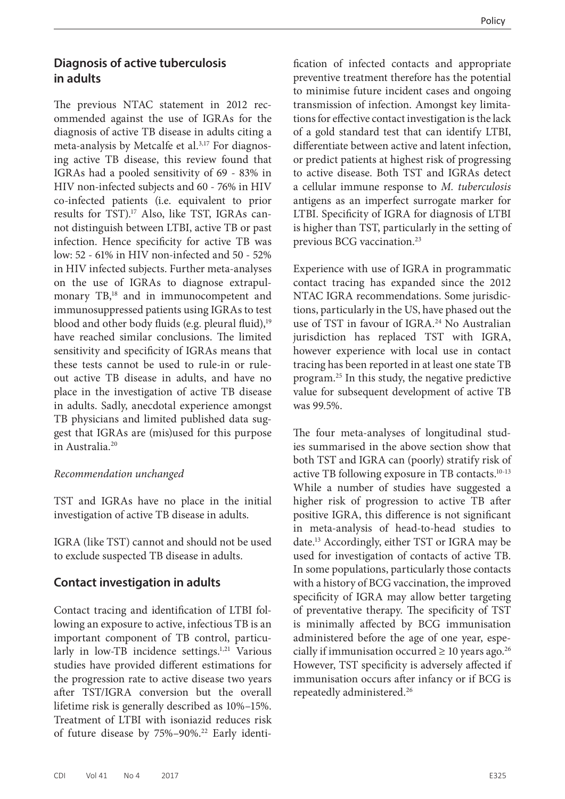## **Diagnosis of active tuberculosis in adults**

The previous NTAC statement in 2012 recommended against the use of IGRAs for the diagnosis of active TB disease in adults citing a meta-analysis by Metcalfe et al.<sup>3,17</sup> For diagnosing active TB disease, this review found that IGRAs had a pooled sensitivity of 69 - 83% in HIV non-infected subjects and 60 - 76% in HIV co-infected patients (i.e. equivalent to prior results for TST).17 Also, like TST, IGRAs cannot distinguish between LTBI, active TB or past infection. Hence specificity for active TB was low: 52 - 61% in HIV non-infected and 50 - 52% in HIV infected subjects. Further meta-analyses on the use of IGRAs to diagnose extrapulmonary TB,<sup>18</sup> and in immunocompetent and immunosuppressed patients using IGRAs to test blood and other body fluids (e.g. pleural fluid),<sup>19</sup> have reached similar conclusions. The limited sensitivity and specificity of IGRAs means that these tests cannot be used to rule-in or ruleout active TB disease in adults, and have no place in the investigation of active TB disease in adults. Sadly, anecdotal experience amongst TB physicians and limited published data suggest that IGRAs are (mis)used for this purpose in Australia.20

#### *Recommendation unchanged*

TST and IGRAs have no place in the initial investigation of active TB disease in adults.

IGRA (like TST) cannot and should not be used to exclude suspected TB disease in adults.

## **Contact investigation in adults**

Contact tracing and identification of LTBI following an exposure to active, infectious TB is an important component of TB control, particularly in low-TB incidence settings.<sup>1,21</sup> Various studies have provided different estimations for the progression rate to active disease two years after TST/IGRA conversion but the overall lifetime risk is generally described as 10%–15%. Treatment of LTBI with isoniazid reduces risk of future disease by 75%-90%.<sup>22</sup> Early identi-

fication of infected contacts and appropriate preventive treatment therefore has the potential to minimise future incident cases and ongoing transmission of infection. Amongst key limitations for effective contact investigation is the lack of a gold standard test that can identify LTBI, differentiate between active and latent infection, or predict patients at highest risk of progressing to active disease. Both TST and IGRAs detect a cellular immune response to *M. tuberculosis*  antigens as an imperfect surrogate marker for LTBI. Specificity of IGRA for diagnosis of LTBI is higher than TST, particularly in the setting of previous BCG vaccination.<sup>23</sup>

Experience with use of IGRA in programmatic contact tracing has expanded since the 2012 NTAC IGRA recommendations. Some jurisdictions, particularly in the US, have phased out the use of TST in favour of IGRA.<sup>24</sup> No Australian jurisdiction has replaced TST with IGRA, however experience with local use in contact tracing has been reported in at least one state TB program.25 In this study, the negative predictive value for subsequent development of active TB was 99.5%.

The four meta-analyses of longitudinal studies summarised in the above section show that both TST and IGRA can (poorly) stratify risk of active TB following exposure in TB contacts.10-13 While a number of studies have suggested a higher risk of progression to active TB after positive IGRA, this difference is not significant in meta-analysis of head-to-head studies to date.13 Accordingly, either TST or IGRA may be used for investigation of contacts of active TB. In some populations, particularly those contacts with a history of BCG vaccination, the improved specificity of IGRA may allow better targeting of preventative therapy. The specificity of TST is minimally affected by BCG immunisation administered before the age of one year, especially if immunisation occurred  $\geq 10$  years ago.<sup>26</sup> However, TST specificity is adversely affected if immunisation occurs after infancy or if BCG is repeatedly administered.26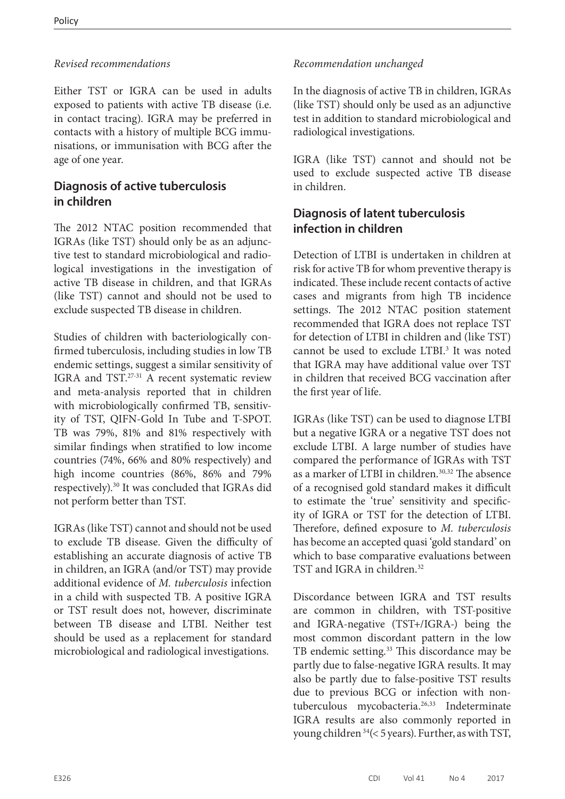## *Revised recommendations*

Either TST or IGRA can be used in adults exposed to patients with active TB disease (i.e. in contact tracing). IGRA may be preferred in contacts with a history of multiple BCG immunisations, or immunisation with BCG after the age of one year.

## **Diagnosis of active tuberculosis in children**

The 2012 NTAC position recommended that IGRAs (like TST) should only be as an adjunctive test to standard microbiological and radiological investigations in the investigation of active TB disease in children, and that IGRAs (like TST) cannot and should not be used to exclude suspected TB disease in children.

Studies of children with bacteriologically confirmed tuberculosis, including studies in low TB endemic settings, suggest a similar sensitivity of IGRA and TST.27-31 A recent systematic review and meta-analysis reported that in children with microbiologically confirmed TB, sensitivity of TST, QIFN-Gold In Tube and T-SPOT. TB was 79%, 81% and 81% respectively with similar findings when stratified to low income countries (74%, 66% and 80% respectively) and high income countries (86%, 86% and 79% respectively).30 It was concluded that IGRAs did not perform better than TST.

IGRAs (like TST) cannot and should not be used to exclude TB disease. Given the difficulty of establishing an accurate diagnosis of active TB in children, an IGRA (and/or TST) may provide additional evidence of *M. tuberculosis* infection in a child with suspected TB. A positive IGRA or TST result does not, however, discriminate between TB disease and LTBI. Neither test should be used as a replacement for standard microbiological and radiological investigations.

## *Recommendation unchanged*

In the diagnosis of active TB in children, IGRAs (like TST) should only be used as an adjunctive test in addition to standard microbiological and radiological investigations.

IGRA (like TST) cannot and should not be used to exclude suspected active TB disease in children.

## **Diagnosis of latent tuberculosis infection in children**

Detection of LTBI is undertaken in children at risk for active TB for whom preventive therapy is indicated. These include recent contacts of active cases and migrants from high TB incidence settings. The 2012 NTAC position statement recommended that IGRA does not replace TST for detection of LTBI in children and (like TST) cannot be used to exclude LTBI.<sup>3</sup> It was noted that IGRA may have additional value over TST in children that received BCG vaccination after the first year of life.

IGRAs (like TST) can be used to diagnose LTBI but a negative IGRA or a negative TST does not exclude LTBI. A large number of studies have compared the performance of IGRAs with TST as a marker of LTBI in children.<sup>30,32</sup> The absence of a recognised gold standard makes it difficult to estimate the 'true' sensitivity and specificity of IGRA or TST for the detection of LTBI. Therefore, defined exposure to *M. tuberculosis* has become an accepted quasi 'gold standard' on which to base comparative evaluations between TST and IGRA in children.<sup>32</sup>

Discordance between IGRA and TST results are common in children, with TST-positive and IGRA-negative (TST+/IGRA-) being the most common discordant pattern in the low TB endemic setting.<sup>33</sup> This discordance may be partly due to false-negative IGRA results. It may also be partly due to false-positive TST results due to previous BCG or infection with nontuberculous mycobacteria.<sup>26,33</sup> Indeterminate IGRA results are also commonly reported in young children 34(< 5 years). Further, as with TST,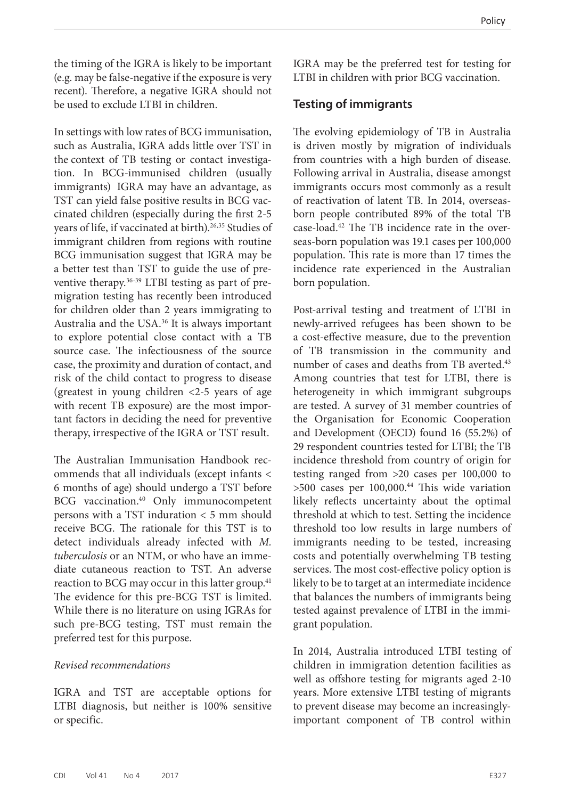the timing of the IGRA is likely to be important (e.g. may be false-negative if the exposure is very recent). Therefore, a negative IGRA should not be used to exclude LTBI in children.

In settings with low rates of BCG immunisation, such as Australia, IGRA adds little over TST in the context of TB testing or contact investigation. In BCG-immunised children (usually immigrants) IGRA may have an advantage, as TST can yield false positive results in BCG vaccinated children (especially during the first 2-5 years of life, if vaccinated at birth).<sup>26,35</sup> Studies of immigrant children from regions with routine BCG immunisation suggest that IGRA may be a better test than TST to guide the use of preventive therapy.36-39 LTBI testing as part of premigration testing has recently been introduced for children older than 2 years immigrating to Australia and the USA.36 It is always important to explore potential close contact with a TB source case. The infectiousness of the source case, the proximity and duration of contact, and risk of the child contact to progress to disease (greatest in young children <2-5 years of age with recent TB exposure) are the most important factors in deciding the need for preventive therapy, irrespective of the IGRA or TST result.

The Australian Immunisation Handbook recommends that all individuals (except infants < 6 months of age) should undergo a TST before BCG vaccination.<sup>40</sup> Only immunocompetent persons with a TST induration < 5 mm should receive BCG. The rationale for this TST is to detect individuals already infected with *M. tuberculosis* or an NTM, or who have an immediate cutaneous reaction to TST. An adverse reaction to BCG may occur in this latter group.<sup>41</sup> The evidence for this pre-BCG TST is limited. While there is no literature on using IGRAs for such pre-BCG testing, TST must remain the preferred test for this purpose.

#### *Revised recommendations*

IGRA and TST are acceptable options for LTBI diagnosis, but neither is 100% sensitive or specific.

IGRA may be the preferred test for testing for LTBI in children with prior BCG vaccination.

#### **Testing of immigrants**

The evolving epidemiology of TB in Australia is driven mostly by migration of individuals from countries with a high burden of disease. Following arrival in Australia, disease amongst immigrants occurs most commonly as a result of reactivation of latent TB. In 2014, overseasborn people contributed 89% of the total TB case-load.42 The TB incidence rate in the overseas-born population was 19.1 cases per 100,000 population. This rate is more than 17 times the incidence rate experienced in the Australian born population.

Post-arrival testing and treatment of LTBI in newly-arrived refugees has been shown to be a cost-effective measure, due to the prevention of TB transmission in the community and number of cases and deaths from TB averted.<sup>43</sup> Among countries that test for LTBI, there is heterogeneity in which immigrant subgroups are tested. A survey of 31 member countries of the Organisation for Economic Cooperation and Development (OECD) found 16 (55.2%) of 29 respondent countries tested for LTBI; the TB incidence threshold from country of origin for testing ranged from >20 cases per 100,000 to  $>500$  cases per  $100,000$ .<sup>44</sup> This wide variation likely reflects uncertainty about the optimal threshold at which to test. Setting the incidence threshold too low results in large numbers of immigrants needing to be tested, increasing costs and potentially overwhelming TB testing services. The most cost-effective policy option is likely to be to target at an intermediate incidence that balances the numbers of immigrants being tested against prevalence of LTBI in the immigrant population.

In 2014, Australia introduced LTBI testing of children in immigration detention facilities as well as offshore testing for migrants aged 2-10 years. More extensive LTBI testing of migrants to prevent disease may become an increasinglyimportant component of TB control within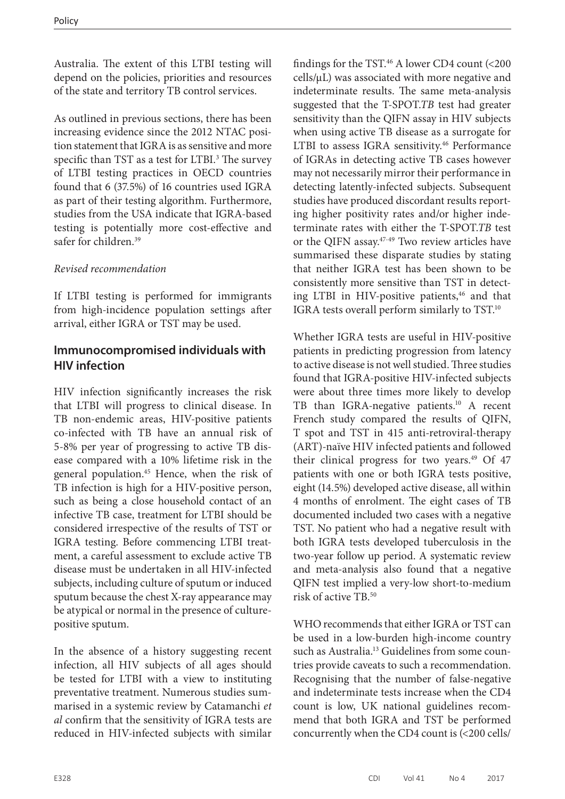Australia. The extent of this LTBI testing will depend on the policies, priorities and resources of the state and territory TB control services.

As outlined in previous sections, there has been increasing evidence since the 2012 NTAC position statement that IGRA is as sensitive and more specific than TST as a test for LTBI.<sup>3</sup> The survey of LTBI testing practices in OECD countries found that 6 (37.5%) of 16 countries used IGRA as part of their testing algorithm. Furthermore, studies from the USA indicate that IGRA-based testing is potentially more cost-effective and safer for children.<sup>39</sup>

## *Revised recommendation*

If LTBI testing is performed for immigrants from high-incidence population settings after arrival, either IGRA or TST may be used.

## **Immunocompromised individuals with HIV infection**

HIV infection significantly increases the risk that LTBI will progress to clinical disease. In TB non-endemic areas, HIV-positive patients co-infected with TB have an annual risk of 5-8% per year of progressing to active TB disease compared with a 10% lifetime risk in the general population.45 Hence, when the risk of TB infection is high for a HIV-positive person, such as being a close household contact of an infective TB case, treatment for LTBI should be considered irrespective of the results of TST or IGRA testing. Before commencing LTBI treatment, a careful assessment to exclude active TB disease must be undertaken in all HIV-infected subjects, including culture of sputum or induced sputum because the chest X-ray appearance may be atypical or normal in the presence of culturepositive sputum.

In the absence of a history suggesting recent infection, all HIV subjects of all ages should be tested for LTBI with a view to instituting preventative treatment. Numerous studies summarised in a systemic review by Catamanchi *et al* confirm that the sensitivity of IGRA tests are reduced in HIV-infected subjects with similar findings for the TST.<sup>46</sup> A lower CD4 count (<200 cells/µL) was associated with more negative and indeterminate results. The same meta-analysis suggested that the T-SPOT.*TB* test had greater sensitivity than the QIFN assay in HIV subjects when using active TB disease as a surrogate for LTBI to assess IGRA sensitivity.<sup>46</sup> Performance of IGRAs in detecting active TB cases however may not necessarily mirror their performance in detecting latently-infected subjects. Subsequent studies have produced discordant results reporting higher positivity rates and/or higher indeterminate rates with either the T-SPOT.*TB* test or the QIFN assay.<sup>47-49</sup> Two review articles have summarised these disparate studies by stating that neither IGRA test has been shown to be consistently more sensitive than TST in detecting LTBI in HIV-positive patients,<sup>46</sup> and that IGRA tests overall perform similarly to TST.<sup>10</sup>

Whether IGRA tests are useful in HIV-positive patients in predicting progression from latency to active disease is not well studied. Three studies found that IGRA-positive HIV-infected subjects were about three times more likely to develop TB than IGRA-negative patients.<sup>10</sup> A recent French study compared the results of QIFN, T spot and TST in 415 anti-retroviral-therapy (ART)-naïve HIV infected patients and followed their clinical progress for two years.<sup>49</sup> Of 47 patients with one or both IGRA tests positive, eight (14.5%) developed active disease, all within 4 months of enrolment. The eight cases of TB documented included two cases with a negative TST. No patient who had a negative result with both IGRA tests developed tuberculosis in the two-year follow up period. A systematic review and meta-analysis also found that a negative QIFN test implied a very-low short-to-medium risk of active TB.50

WHO recommends that either IGRA or TST can be used in a low-burden high-income country such as Australia.<sup>13</sup> Guidelines from some countries provide caveats to such a recommendation. Recognising that the number of false-negative and indeterminate tests increase when the CD4 count is low, UK national guidelines recommend that both IGRA and TST be performed concurrently when the CD4 count is (<200 cells/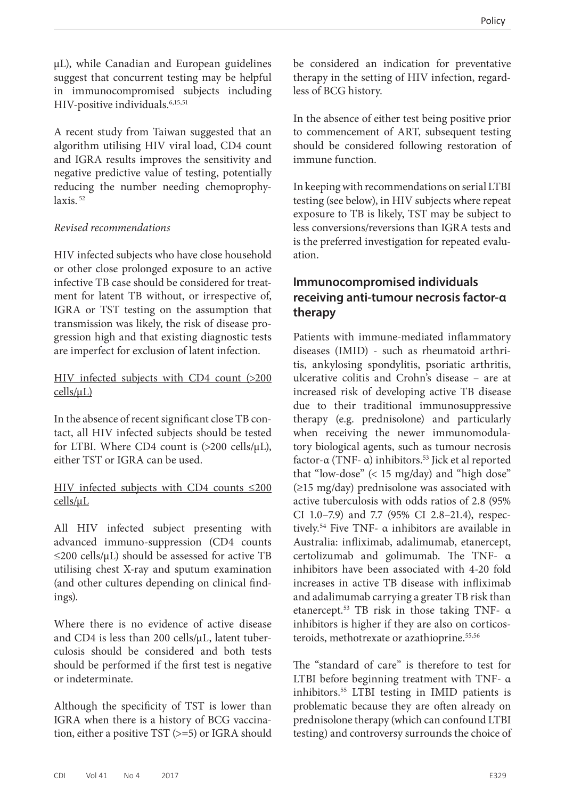µL), while Canadian and European guidelines suggest that concurrent testing may be helpful in immunocompromised subjects including HIV-positive individuals.<sup>6,15,51</sup>

A recent study from Taiwan suggested that an algorithm utilising HIV viral load, CD4 count and IGRA results improves the sensitivity and negative predictive value of testing, potentially reducing the number needing chemoprophylaxis. 52

#### *Revised recommendations*

HIV infected subjects who have close household or other close prolonged exposure to an active infective TB case should be considered for treatment for latent TB without, or irrespective of, IGRA or TST testing on the assumption that transmission was likely, the risk of disease progression high and that existing diagnostic tests are imperfect for exclusion of latent infection.

#### HIV infected subjects with CD4 count (>200  $cells/µL)$

In the absence of recent significant close TB contact, all HIV infected subjects should be tested for LTBI. Where CD4 count is  $(>200 \text{ cells/µL})$ , either TST or IGRA can be used.

#### HIV infected subjects with CD4 counts ≤200 cells/µL

All HIV infected subject presenting with advanced immuno-suppression (CD4 counts  $\leq$ 200 cells/ $\mu$ L) should be assessed for active TB utilising chest X-ray and sputum examination (and other cultures depending on clinical findings).

Where there is no evidence of active disease and CD4 is less than 200 cells/µL, latent tuberculosis should be considered and both tests should be performed if the first test is negative or indeterminate.

Although the specificity of TST is lower than IGRA when there is a history of BCG vaccination, either a positive TST (>=5) or IGRA should

be considered an indication for preventative therapy in the setting of HIV infection, regardless of BCG history.

In the absence of either test being positive prior to commencement of ART, subsequent testing should be considered following restoration of immune function.

In keeping with recommendations on serial LTBI testing (see below), in HIV subjects where repeat exposure to TB is likely, TST may be subject to less conversions/reversions than IGRA tests and is the preferred investigation for repeated evaluation.

## **Immunocompromised individuals receiving anti-tumour necrosis factor-α therapy**

Patients with immune-mediated inflammatory diseases (IMID) - such as rheumatoid arthritis, ankylosing spondylitis, psoriatic arthritis, ulcerative colitis and Crohn's disease – are at increased risk of developing active TB disease due to their traditional immunosuppressive therapy (e.g. prednisolone) and particularly when receiving the newer immunomodulatory biological agents, such as tumour necrosis factor-α (TNF- α) inhibitors.<sup>53</sup> Jick et al reported that "low-dose" (< 15 mg/day) and "high dose" (≥15 mg/day) prednisolone was associated with active tuberculosis with odds ratios of 2.8 (95% CI 1.0–7.9) and 7.7 (95% CI 2.8–21.4), respectively.<sup>54</sup> Five TNF-  $\alpha$  inhibitors are available in Australia: infliximab, adalimumab, etanercept, certolizumab and golimumab. The TNF- α inhibitors have been associated with 4-20 fold increases in active TB disease with infliximab and adalimumab carrying a greater TB risk than etanercept.53 TB risk in those taking TNF- α inhibitors is higher if they are also on corticosteroids, methotrexate or azathioprine. 55,56

The "standard of care" is therefore to test for LTBI before beginning treatment with TNF- α inhibitors.55 LTBI testing in IMID patients is problematic because they are often already on prednisolone therapy (which can confound LTBI testing) and controversy surrounds the choice of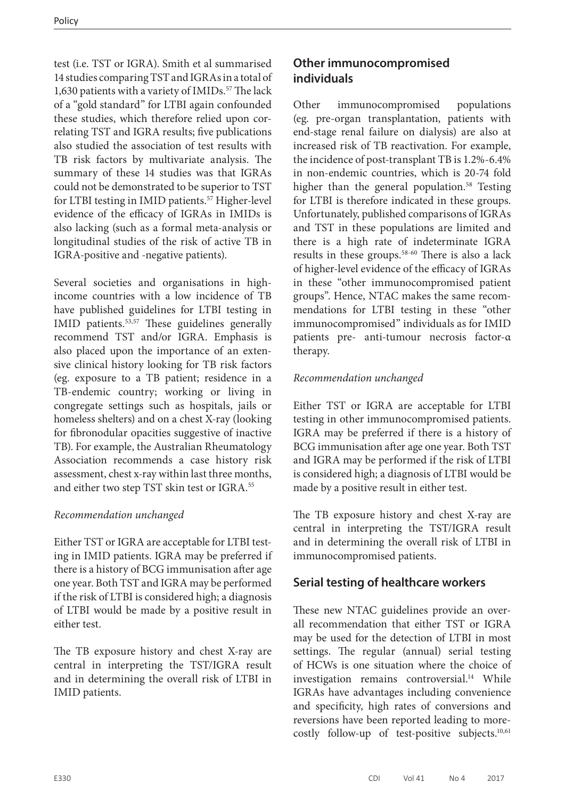test (i.e. TST or IGRA). Smith et al summarised 14 studies comparing TST and IGRAs in a total of 1,630 patients with a variety of IMIDs.<sup>57</sup> The lack of a "gold standard" for LTBI again confounded these studies, which therefore relied upon correlating TST and IGRA results; five publications also studied the association of test results with TB risk factors by multivariate analysis. The summary of these 14 studies was that IGRAs could not be demonstrated to be superior to TST for LTBI testing in IMID patients.<sup>57</sup> Higher-level evidence of the efficacy of IGRAs in IMIDs is also lacking (such as a formal meta-analysis or longitudinal studies of the risk of active TB in IGRA-positive and -negative patients).

Several societies and organisations in highincome countries with a low incidence of TB have published guidelines for LTBI testing in IMID patients.<sup>53,57</sup> These guidelines generally recommend TST and/or IGRA. Emphasis is also placed upon the importance of an extensive clinical history looking for TB risk factors (eg. exposure to a TB patient; residence in a TB-endemic country; working or living in congregate settings such as hospitals, jails or homeless shelters) and on a chest X-ray (looking for fibronodular opacities suggestive of inactive TB). For example, the Australian Rheumatology Association recommends a case history risk assessment, chest x-ray within last three months, and either two step TST skin test or IGRA.<sup>55</sup>

## *Recommendation unchanged*

Either TST or IGRA are acceptable for LTBI testing in IMID patients. IGRA may be preferred if there is a history of BCG immunisation after age one year. Both TST and IGRA may be performed if the risk of LTBI is considered high; a diagnosis of LTBI would be made by a positive result in either test.

The TB exposure history and chest X-ray are central in interpreting the TST/IGRA result and in determining the overall risk of LTBI in IMID patients.

## **Other immunocompromised individuals**

Other immunocompromised populations (eg. pre-organ transplantation, patients with end-stage renal failure on dialysis) are also at increased risk of TB reactivation. For example, the incidence of post-transplant TB is 1.2%-6.4% in non-endemic countries, which is 20-74 fold higher than the general population.<sup>58</sup> Testing for LTBI is therefore indicated in these groups. Unfortunately, published comparisons of IGRAs and TST in these populations are limited and there is a high rate of indeterminate IGRA results in these groups.58-60 There is also a lack of higher-level evidence of the efficacy of IGRAs in these "other immunocompromised patient groups". Hence, NTAC makes the same recommendations for LTBI testing in these "other immunocompromised" individuals as for IMID patients pre- anti-tumour necrosis factor-α therapy.

## *Recommendation unchanged*

Either TST or IGRA are acceptable for LTBI testing in other immunocompromised patients. IGRA may be preferred if there is a history of BCG immunisation after age one year. Both TST and IGRA may be performed if the risk of LTBI is considered high; a diagnosis of LTBI would be made by a positive result in either test.

The TB exposure history and chest X-ray are central in interpreting the TST/IGRA result and in determining the overall risk of LTBI in immunocompromised patients.

## **Serial testing of healthcare workers**

These new NTAC guidelines provide an overall recommendation that either TST or IGRA may be used for the detection of LTBI in most settings. The regular (annual) serial testing of HCWs is one situation where the choice of investigation remains controversial.<sup>14</sup> While IGRAs have advantages including convenience and specificity, high rates of conversions and reversions have been reported leading to morecostly follow-up of test-positive subjects.<sup>10,61</sup>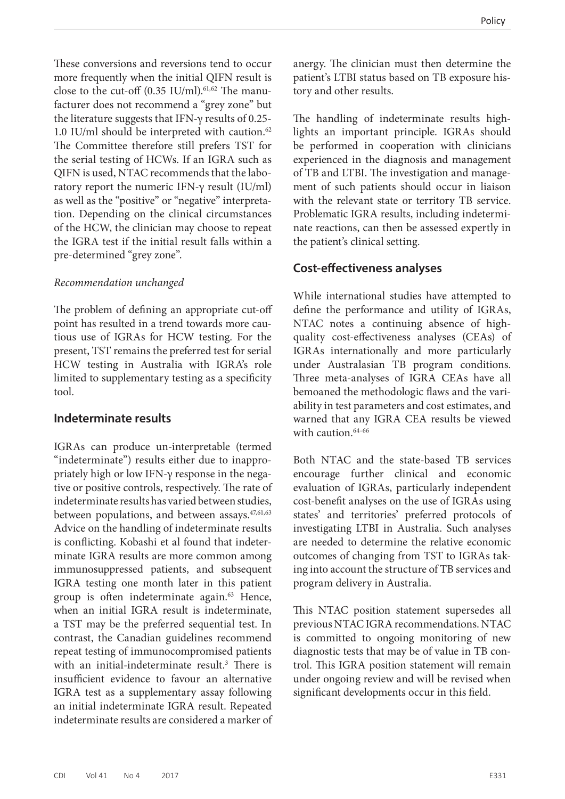These conversions and reversions tend to occur more frequently when the initial QIFN result is close to the cut-off  $(0.35 \text{ IU/ml})$ .<sup>61,62</sup> The manufacturer does not recommend a "grey zone" but the literature suggests that IFN-γ results of 0.25- 1.0 IU/ml should be interpreted with caution. $62$ The Committee therefore still prefers TST for the serial testing of HCWs. If an IGRA such as QIFN is used, NTAC recommends that the laboratory report the numeric IFN-γ result (IU/ml) as well as the "positive" or "negative" interpretation. Depending on the clinical circumstances of the HCW, the clinician may choose to repeat the IGRA test if the initial result falls within a pre-determined "grey zone".

#### *Recommendation unchanged*

The problem of defining an appropriate cut-off point has resulted in a trend towards more cautious use of IGRAs for HCW testing. For the present, TST remains the preferred test for serial HCW testing in Australia with IGRA's role limited to supplementary testing as a specificity tool.

#### **Indeterminate results**

IGRAs can produce un-interpretable (termed "indeterminate") results either due to inappropriately high or low IFN-γ response in the negative or positive controls, respectively. The rate of indeterminate results has varied between studies, between populations, and between assays.<sup>47,61,63</sup> Advice on the handling of indeterminate results is conflicting. Kobashi et al found that indeterminate IGRA results are more common among immunosuppressed patients, and subsequent IGRA testing one month later in this patient group is often indeterminate again.<sup>63</sup> Hence, when an initial IGRA result is indeterminate, a TST may be the preferred sequential test. In contrast, the Canadian guidelines recommend repeat testing of immunocompromised patients with an initial-indeterminate result.<sup>3</sup> There is insufficient evidence to favour an alternative IGRA test as a supplementary assay following an initial indeterminate IGRA result. Repeated indeterminate results are considered a marker of

anergy. The clinician must then determine the patient's LTBI status based on TB exposure history and other results.

The handling of indeterminate results highlights an important principle. IGRAs should be performed in cooperation with clinicians experienced in the diagnosis and management of TB and LTBI. The investigation and management of such patients should occur in liaison with the relevant state or territory TB service. Problematic IGRA results, including indeterminate reactions, can then be assessed expertly in the patient's clinical setting.

#### **Cost-effectiveness analyses**

While international studies have attempted to define the performance and utility of IGRAs, NTAC notes a continuing absence of highquality cost-effectiveness analyses (CEAs) of IGRAs internationally and more particularly under Australasian TB program conditions. Three meta-analyses of IGRA CEAs have all bemoaned the methodologic flaws and the variability in test parameters and cost estimates, and warned that any IGRA CEA results be viewed with caution. $64-66$ 

Both NTAC and the state-based TB services encourage further clinical and economic evaluation of IGRAs, particularly independent cost-benefit analyses on the use of IGRAs using states' and territories' preferred protocols of investigating LTBI in Australia. Such analyses are needed to determine the relative economic outcomes of changing from TST to IGRAs taking into account the structure of TB services and program delivery in Australia.

This NTAC position statement supersedes all previous NTAC IGRA recommendations. NTAC is committed to ongoing monitoring of new diagnostic tests that may be of value in TB control. This IGRA position statement will remain under ongoing review and will be revised when significant developments occur in this field.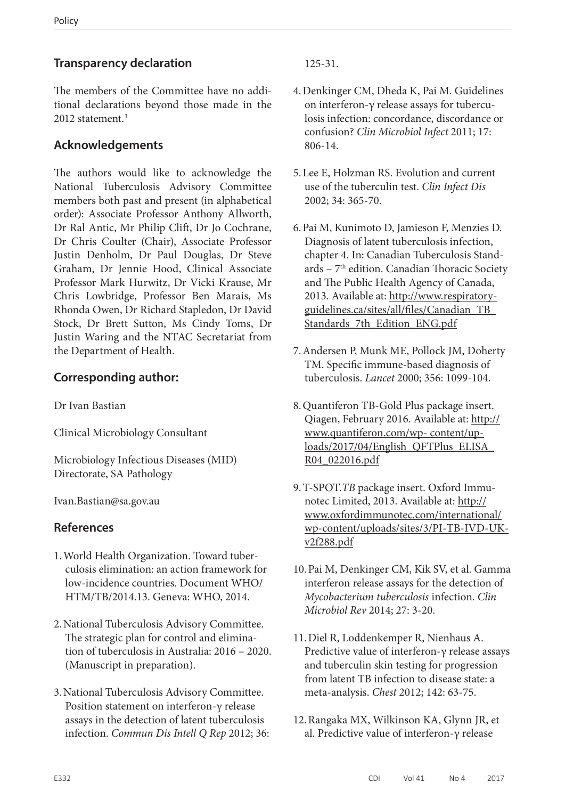## **Transparency declaration**

The members of the Committee have no additional declarations beyond those made in the 2012 statement.<sup>3</sup>

## **Acknowledgements**

The authors would like to acknowledge the National Tuberculosis Advisory Committee members both past and present (in alphabetical order): Associate Professor Anthony Allworth, Dr Ral Antic, Mr Philip Clift, Dr Jo Cochrane, Dr Chris Coulter (Chair), Associate Professor Justin Denholm, Dr Paul Douglas, Dr Steve Graham, Dr Jennie Hood, Clinical Associate Professor Mark Hurwitz, Dr Vicki Krause, Mr Chris Lowbridge, Professor Ben Marais, Ms Rhonda Owen, Dr Richard Stapledon, Dr David Stock, Dr Brett Sutton, Ms Cindy Toms, Dr Justin Waring and the NTAC Secretariat from the Department of Health.

## **Corresponding author:**

Dr Ivan Bastian

Clinical Microbiology Consultant

Microbiology Infectious Diseases (MID) Directorate, SA Pathology

Ivan.Bastian@sa.gov.au

## **References**

- 1.World Health Organization. Toward tuberculosis elimination: an action framework for low-incidence countries. Document WHO/ HTM/TB/2014.13. Geneva: WHO, 2014.
- 2.National Tuberculosis Advisory Committee. The strategic plan for control and elimination of tuberculosis in Australia: 2016 – 2020. (Manuscript in preparation).
- 3.National Tuberculosis Advisory Committee. Position statement on interferon-γ release assays in the detection of latent tuberculosis infection. *Commun Dis Intell Q Rep* 2012; 36:

125-31.

- 4.Denkinger CM, Dheda K, Pai M. Guidelines on interferon-γ release assays for tuberculosis infection: concordance, discordance or confusion? *Clin Microbiol Infect* 2011; 17: 806-14.
- 5.Lee E, Holzman RS. Evolution and current use of the tuberculin test. *Clin Infect Dis* 2002; 34: 365-70.
- 6.Pai M, Kunimoto D, Jamieson F, Menzies D. Diagnosis of latent tuberculosis infection, chapter 4. In: Canadian Tuberculosis Standards – 7th edition. Canadian Thoracic Society and The Public Health Agency of Canada, 2013. Available at: [http://www.respiratory](http://www.respiratoryguidelines.ca/sites/all/files/Canadian_TB_Standards_7th_Edition_ENG.pdf )[guidelines.ca/sites/all/files/Canadian\\_TB\\_](http://www.respiratoryguidelines.ca/sites/all/files/Canadian_TB_Standards_7th_Edition_ENG.pdf ) [Standards\\_7th\\_Edition\\_ENG.pdf](http://www.respiratoryguidelines.ca/sites/all/files/Canadian_TB_Standards_7th_Edition_ENG.pdf )
- 7.Andersen P, Munk ME, Pollock JM, Doherty TM. Specific immune-based diagnosis of tuberculosis. *Lancet* 2000; 356: 1099-104.
- 8.Quantiferon TB-Gold Plus package insert. Qiagen, February 2016. Available at: [http://](http://www.quantiferon.com/wp- content/uploads/2017/04/English_QFTPlus_ELISA_R04_022016.pdf ) [www.quantiferon.com/wp- content/up](http://www.quantiferon.com/wp- content/uploads/2017/04/English_QFTPlus_ELISA_R04_022016.pdf )[loads/2017/04/English\\_QFTPlus\\_ELISA\\_](http://www.quantiferon.com/wp- content/uploads/2017/04/English_QFTPlus_ELISA_R04_022016.pdf ) [R04\\_022016.pdf](http://www.quantiferon.com/wp- content/uploads/2017/04/English_QFTPlus_ELISA_R04_022016.pdf )
- 9.T-SPOT.*TB* package insert. Oxford Immunotec Limited, 2013. Available at: [http://](http://www.oxfordimmunotec.com/international/wp-content/uploads/sites/3/PI-TB-IVD-UK-v2f288.pdf ) [www.oxfordimmunotec.com/international/](http://www.oxfordimmunotec.com/international/wp-content/uploads/sites/3/PI-TB-IVD-UK-v2f288.pdf ) [wp-content/uploads/sites/3/PI-TB-IVD-UK](http://www.oxfordimmunotec.com/international/wp-content/uploads/sites/3/PI-TB-IVD-UK-v2f288.pdf )[v2f288.pdf](http://www.oxfordimmunotec.com/international/wp-content/uploads/sites/3/PI-TB-IVD-UK-v2f288.pdf )
- 10.Pai M, Denkinger CM, Kik SV, et al. Gamma interferon release assays for the detection of *Mycobacterium tuberculosis* infection. *Clin Microbiol Rev* 2014; 27: 3-20.
- 11.Diel R, Loddenkemper R, Nienhaus A. Predictive value of interferon-γ release assays and tuberculin skin testing for progression from latent TB infection to disease state: a meta-analysis. *Chest* 2012; 142: 63-75.
- 12.Rangaka MX, Wilkinson KA, Glynn JR, et al. Predictive value of interferon-γ release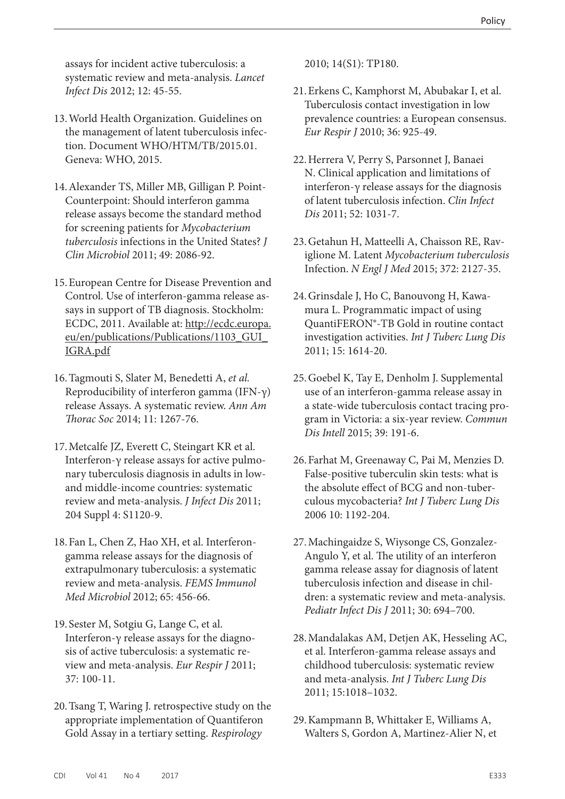assays for incident active tuberculosis: a systematic review and meta-analysis. *Lancet Infect Dis* 2012; 12: 45-55.

- 13.World Health Organization. Guidelines on the management of latent tuberculosis infection. Document WHO/HTM/TB/2015.01. Geneva: WHO, 2015.
- 14.Alexander TS, Miller MB, Gilligan P. Point-Counterpoint: Should interferon gamma release assays become the standard method for screening patients for *Mycobacterium tuberculosis* infections in the United States? *J Clin Microbiol* 2011; 49: 2086-92.
- 15.European Centre for Disease Prevention and Control. Use of interferon-gamma release assays in support of TB diagnosis. Stockholm: ECDC, 2011. Available at: [http://ecdc.europa.](http://ecdc.europa.eu/en/publications/Publications/1103_GUI_IGRA.pdf ) [eu/en/publications/Publications/1103\\_GUI\\_](http://ecdc.europa.eu/en/publications/Publications/1103_GUI_IGRA.pdf ) [IGRA.pdf](http://ecdc.europa.eu/en/publications/Publications/1103_GUI_IGRA.pdf )
- 16.Tagmouti S, Slater M, Benedetti A, *et al.* Reproducibility of interferon gamma (IFN-γ) release Assays. A systematic review. *Ann Am Thorac Soc* 2014; 11: 1267-76.
- 17.Metcalfe JZ, Everett C, Steingart KR et al. Interferon-γ release assays for active pulmonary tuberculosis diagnosis in adults in lowand middle-income countries: systematic review and meta-analysis. *J Infect Dis* 2011; 204 Suppl 4: S1120-9.
- 18.Fan L, Chen Z, Hao XH, et al. Interferongamma release assays for the diagnosis of extrapulmonary tuberculosis: a systematic review and meta-analysis. *FEMS Immunol Med Microbiol* 2012; 65: 456-66.
- 19. Sester M, Sotgiu G, Lange C, et al. Interferon-γ release assays for the diagnosis of active tuberculosis: a systematic review and meta-analysis. *Eur Respir J* 2011; 37: 100-11.
- 20.Tsang T, Waring J. retrospective study on the appropriate implementation of Quantiferon Gold Assay in a tertiary setting. *Respirology*

2010; 14(S1): TP180.

- 21.Erkens C, Kamphorst M, Abubakar I, et al. Tuberculosis contact investigation in low prevalence countries: a European consensus. *Eur Respir J* 2010; 36: 925-49.
- 22.Herrera V, Perry S, Parsonnet J, Banaei N. Clinical application and limitations of interferon-γ release assays for the diagnosis of latent tuberculosis infection. *Clin Infect Dis* 2011; 52: 1031-7.
- 23.Getahun H, Matteelli A, Chaisson RE, Raviglione M. Latent *Mycobacterium tuberculosis* Infection. *N Engl J Med* 2015; 372: 2127-35.
- 24.Grinsdale J, Ho C, Banouvong H, Kawamura L. Programmatic impact of using QuantiFERON®-TB Gold in routine contact investigation activities. *Int J Tuberc Lung Dis* 2011; 15: 1614-20.
- 25.Goebel K, Tay E, Denholm J. Supplemental use of an interferon-gamma release assay in a state-wide tuberculosis contact tracing program in Victoria: a six-year review. *Commun Dis Intell* 2015; 39: 191-6.
- 26.Farhat M, Greenaway C, Pai M, Menzies D. False-positive tuberculin skin tests: what is the absolute effect of BCG and non-tuberculous mycobacteria? *Int J Tuberc Lung Dis* 2006 10: 1192-204.
- 27.Machingaidze S, Wiysonge CS, Gonzalez-Angulo Y, et al. The utility of an interferon gamma release assay for diagnosis of latent tuberculosis infection and disease in children: a systematic review and meta-analysis. *Pediatr Infect Dis J* 2011; 30: 694–700.
- 28.Mandalakas AM, Detjen AK, Hesseling AC, et al. Interferon-gamma release assays and childhood tuberculosis: systematic review and meta-analysis. *Int J Tuberc Lung Dis* 2011; 15:1018–1032.
- 29.Kampmann B, Whittaker E, Williams A, Walters S, Gordon A, Martinez-Alier N, et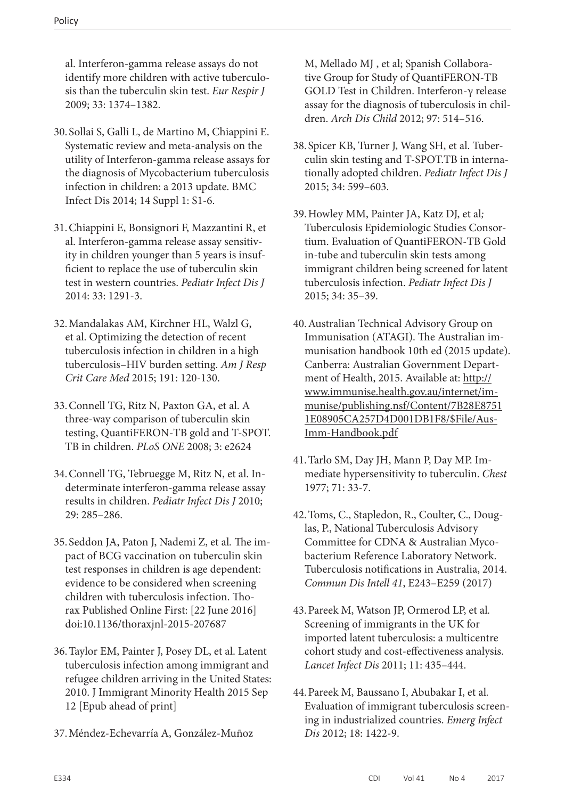al. Interferon-gamma release assays do not identify more children with active tuberculosis than the tuberculin skin test. *Eur Respir J*  2009; 33: 1374–1382.

- 30. Sollai S, Galli L, de Martino M, Chiappini E. Systematic review and meta-analysis on the utility of Interferon-gamma release assays for the diagnosis of Mycobacterium tuberculosis infection in children: a 2013 update. BMC Infect Dis 2014; 14 Suppl 1: S1-6.
- 31.Chiappini E, Bonsignori F, Mazzantini R, et al. Interferon-gamma release assay sensitivity in children younger than 5 years is insufficient to replace the use of tuberculin skin test in western countries. *Pediatr Infect Dis J* 2014: 33: 1291-3.
- 32.Mandalakas AM, Kirchner HL, Walzl G, et al. Optimizing the detection of recent tuberculosis infection in children in a high tuberculosis–HIV burden setting. *Am J Resp Crit Care Med* 2015; 191: 120-130.
- 33.Connell TG, Ritz N, Paxton GA, et al. A three-way comparison of tuberculin skin testing, QuantiFERON-TB gold and T-SPOT. TB in children. *PLoS ONE* 2008; 3: e2624
- 34.Connell TG, Tebruegge M, Ritz N, et al. Indeterminate interferon-gamma release assay results in children. *Pediatr Infect Dis J* 2010; 29: 285–286.
- 35. Seddon JA, Paton J, Nademi Z, et al*.* The impact of BCG vaccination on tuberculin skin test responses in children is age dependent: evidence to be considered when screening children with tuberculosis infection. Thorax Published Online First: [22 June 2016] doi:10.1136/thoraxjnl-2015-207687
- 36.Taylor EM, Painter J, Posey DL, et al. Latent tuberculosis infection among immigrant and refugee children arriving in the United States: 2010. J Immigrant Minority Health 2015 Sep 12 [Epub ahead of print]
- 37.Méndez-Echevarría A, González-Muñoz

M, Mellado MJ , et al; Spanish Collaborative Group for Study of QuantiFERON-TB GOLD Test in Children. Interferon-γ release assay for the diagnosis of tuberculosis in children. *Arch Dis Child* 2012; 97: 514–516.

- 38. Spicer KB, Turner J, Wang SH, et al. Tuberculin skin testing and T-SPOT.TB in internationally adopted children. *Pediatr Infect Dis J*  2015; 34: 599–603.
- 39.Howley MM, Painter JA, Katz DJ, et al*;* Tuberculosis Epidemiologic Studies Consortium. Evaluation of QuantiFERON-TB Gold in-tube and tuberculin skin tests among immigrant children being screened for latent tuberculosis infection. *Pediatr Infect Dis J* 2015; 34: 35–39.
- 40.Australian Technical Advisory Group on Immunisation (ATAGI). The Australian immunisation handbook 10th ed (2015 update). Canberra: Australian Government Department of Health, 2015. Available at: [http://](http://www.immunise.health.gov.au/internet/immunise/publishing.nsf/Content/7B28E87511E08905CA257D4D001DB1F8/$File/Aus-Imm-Handbook.pdf ) [www.immunise.health.gov.au/internet/im](http://www.immunise.health.gov.au/internet/immunise/publishing.nsf/Content/7B28E87511E08905CA257D4D001DB1F8/$File/Aus-Imm-Handbook.pdf )[munise/publishing.nsf/Content/7B28E8751](http://www.immunise.health.gov.au/internet/immunise/publishing.nsf/Content/7B28E87511E08905CA257D4D001DB1F8/$File/Aus-Imm-Handbook.pdf ) [1E08905CA257D4D001DB1F8/\\$File/Aus-](http://www.immunise.health.gov.au/internet/immunise/publishing.nsf/Content/7B28E87511E08905CA257D4D001DB1F8/$File/Aus-Imm-Handbook.pdf )[Imm-Handbook.pdf](http://www.immunise.health.gov.au/internet/immunise/publishing.nsf/Content/7B28E87511E08905CA257D4D001DB1F8/$File/Aus-Imm-Handbook.pdf )
- 41.Tarlo SM, Day JH, Mann P, Day MP. Immediate hypersensitivity to tuberculin. *Chest* 1977; 71: 33-7.
- 42.Toms, C., Stapledon, R., Coulter, C., Douglas, P., National Tuberculosis Advisory Committee for CDNA & Australian Mycobacterium Reference Laboratory Network. Tuberculosis notifications in Australia, 2014. *Commun Dis Intell 41*, E243–E259 (2017)
- 43.Pareek M, Watson JP, Ormerod LP, et al*.*  Screening of immigrants in the UK for imported latent tuberculosis: a multicentre cohort study and cost-effectiveness analysis. *Lancet Infect Dis* 2011; 11: 435–444.
- 44.Pareek M, Baussano I, Abubakar I, et al*.*  Evaluation of immigrant tuberculosis screening in industrialized countries. *Emerg Infect Dis* 2012; 18: 1422-9.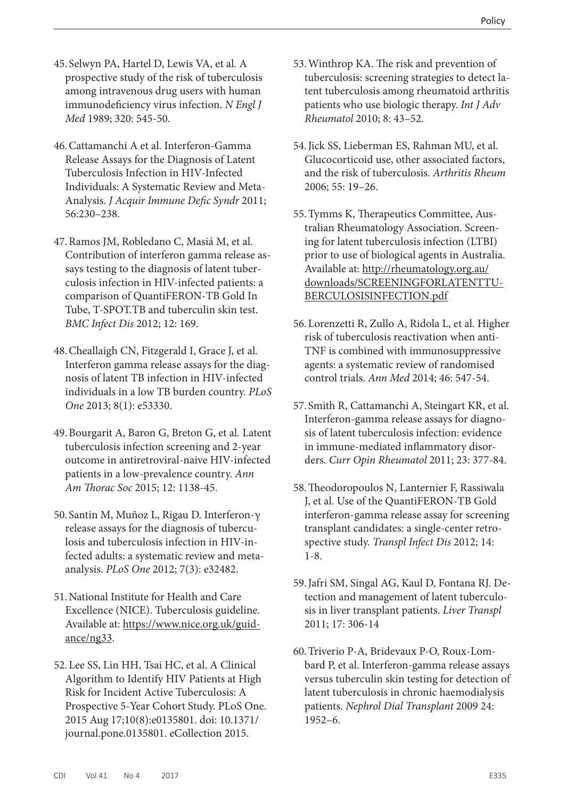- 45. Selwyn PA, Hartel D, Lewis VA, et al*.* A prospective study of the risk of tuberculosis among intravenous drug users with human immunodeficiency virus infection. *N Engl J Med* 1989; 320: 545-50.
- 46.Cattamanchi A et al. Interferon-Gamma Release Assays for the Diagnosis of Latent Tuberculosis Infection in HIV-Infected Individuals: A Systematic Review and Meta-Analysis. *J Acquir Immune Defic Syndr* 2011; 56:230–238.
- 47.Ramos JM, Robledano C, Masiá M, et al. Contribution of interferon gamma release assays testing to the diagnosis of latent tuberculosis infection in HIV-infected patients: a comparison of QuantiFERON-TB Gold In Tube, T-SPOT.TB and tuberculin skin test. *BMC Infect Dis* 2012; 12: 169.
- 48.Cheallaigh CN, Fitzgerald I, Grace J, et al*.*  Interferon gamma release assays for the diagnosis of latent TB infection in HIV-infected individuals in a low TB burden country. *PLoS One* 2013; 8(1): e53330.
- 49.Bourgarit A, Baron G, Breton G, et al*.* Latent tuberculosis infection screening and 2-year outcome in antiretroviral-naive HIV-infected patients in a low-prevalence country. *Ann Am Thorac Soc* 2015; 12: 1138-45.
- 50. Santin M, Muñoz L, Rigau D. Interferon-γ release assays for the diagnosis of tuberculosis and tuberculosis infection in HIV-infected adults: a systematic review and metaanalysis. *PLoS One* 2012; 7(3): e32482.
- 51.National Institute for Health and Care Excellence (NICE). Tuberculosis guideline. Available at: [https://www.nice.org.uk/guid](https://www.nice.org.uk/guidance/ng33)[ance/ng33](https://www.nice.org.uk/guidance/ng33).
- 52.Lee SS, Lin HH, Tsai HC, et al. A Clinical Algorithm to Identify HIV Patients at High Risk for Incident Active Tuberculosis: A Prospective 5-Year Cohort Study. PLoS One. 2015 Aug 17;10(8):e0135801. doi: 10.1371/ journal.pone.0135801. eCollection 2015.
- 53.Winthrop KA. The risk and prevention of tuberculosis: screening strategies to detect latent tuberculosis among rheumatoid arthritis patients who use biologic therapy. *Int J Adv Rheumatol* 2010; 8: 43–52.
- 54. Jick SS, Lieberman ES, Rahman MU, et al. Glucocorticoid use, other associated factors, and the risk of tuberculosis. *Arthritis Rheum* 2006; 55: 19–26.
- 55.Tymms K, Therapeutics Committee, Australian Rheumatology Association. Screening for latent tuberculosis infection (LTBI) prior to use of biological agents in Australia. Available at: [http://rheumatology.org.au/](http://rheumatology.org.au/downloads/SCREENINGFORLATENTTUBERCULOSISINFECTION.pdf) [downloads/SCREENINGFORLATENTTU-](http://rheumatology.org.au/downloads/SCREENINGFORLATENTTUBERCULOSISINFECTION.pdf)[BERCULOSISINFECTION.pdf](http://rheumatology.org.au/downloads/SCREENINGFORLATENTTUBERCULOSISINFECTION.pdf)
- 56.Lorenzetti R, Zullo A, Ridola L, et al. Higher risk of tuberculosis reactivation when anti-TNF is combined with immunosuppressive agents: a systematic review of randomised control trials. *Ann Med* 2014; 46: 547-54.
- 57. Smith R, Cattamanchi A, Steingart KR, et al. Interferon-gamma release assays for diagnosis of latent tuberculosis infection: evidence in immune-mediated inflammatory disorders. *Curr Opin Rheumatol* 2011; 23: 377-84.
- 58.Theodoropoulos N, Lanternier F, Rassiwala J, et al. Use of the QuantiFERON-TB Gold interferon-gamma release assay for screening transplant candidates: a single-center retrospective study. *Transpl Infect Dis* 2012; 14: 1-8.
- 59.Jafri SM, Singal AG, Kaul D, Fontana RJ. Detection and management of latent tuberculosis in liver transplant patients. *Liver Transpl* 2011; 17: 306-14
- 60.Triverio P-A, Bridevaux P-O, Roux-Lombard P, et al. Interferon-gamma release assays versus tuberculin skin testing for detection of latent tuberculosis in chronic haemodialysis patients. *Nephrol Dial Transplant* 2009 24: 1952–6.